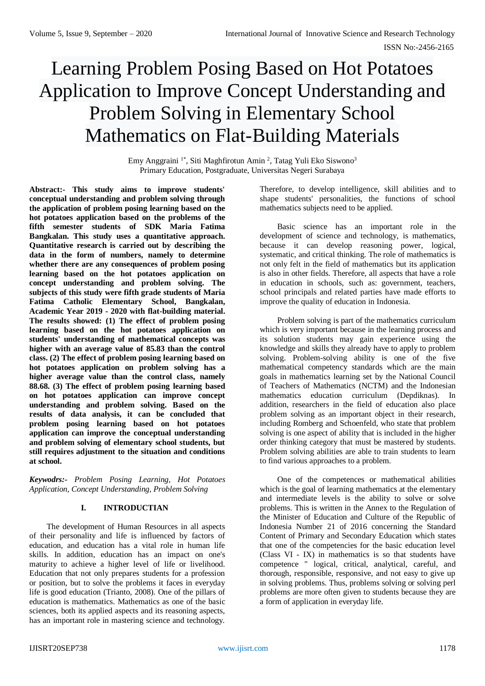# Learning Problem Posing Based on Hot Potatoes Application to Improve Concept Understanding and Problem Solving in Elementary School Mathematics on Flat-Building Materials

Emy Anggraini <sup>1\*</sup>, Siti Maghfirotun Amin<sup>2</sup>, Tatag Yuli Eko Siswono<sup>3</sup> Primary Education, Postgraduate, Universitas Negeri Surabaya

**Abstract:- This study aims to improve students' conceptual understanding and problem solving through the application of problem posing learning based on the hot potatoes application based on the problems of the fifth semester students of SDK Maria Fatima Bangkalan. This study uses a quantitative approach. Quantitative research is carried out by describing the data in the form of numbers, namely to determine whether there are any consequences of problem posing learning based on the hot potatoes application on concept understanding and problem solving. The subjects of this study were fifth grade students of Maria Fatima Catholic Elementary School, Bangkalan, Academic Year 2019 - 2020 with flat-building material. The results showed: (1) The effect of problem posing learning based on the hot potatoes application on students' understanding of mathematical concepts was higher with an average value of 85.83 than the control class. (2) The effect of problem posing learning based on hot potatoes application on problem solving has a higher average value than the control class, namely 88.68. (3) The effect of problem posing learning based on hot potatoes application can improve concept understanding and problem solving. Based on the results of data analysis, it can be concluded that problem posing learning based on hot potatoes application can improve the conceptual understanding and problem solving of elementary school students, but still requires adjustment to the situation and conditions at school.**

*Keywodrs:- Problem Posing Learning, Hot Potatoes Application, Concept Understanding, Problem Solving*

## **I. INTRODUCTIAN**

The development of Human Resources in all aspects of their personality and life is influenced by factors of education, and education has a vital role in human life skills. In addition, education has an impact on one's maturity to achieve a higher level of life or livelihood. Education that not only prepares students for a profession or position, but to solve the problems it faces in everyday life is good education (Trianto, 2008). One of the pillars of education is mathematics. Mathematics as one of the basic sciences, both its applied aspects and its reasoning aspects, has an important role in mastering science and technology.

Therefore, to develop intelligence, skill abilities and to shape students' personalities, the functions of school mathematics subjects need to be applied.

Basic science has an important role in the development of science and technology, is mathematics, because it can develop reasoning power, logical, systematic, and critical thinking. The role of mathematics is not only felt in the field of mathematics but its application is also in other fields. Therefore, all aspects that have a role in education in schools, such as: government, teachers, school principals and related parties have made efforts to improve the quality of education in Indonesia.

Problem solving is part of the mathematics curriculum which is very important because in the learning process and its solution students may gain experience using the knowledge and skills they already have to apply to problem solving. Problem-solving ability is one of the five mathematical competency standards which are the main goals in mathematics learning set by the National Council of Teachers of Mathematics (NCTM) and the Indonesian mathematics education curriculum (Depdiknas). In addition, researchers in the field of education also place problem solving as an important object in their research, including Romberg and Schoenfeld, who state that problem solving is one aspect of ability that is included in the higher order thinking category that must be mastered by students. Problem solving abilities are able to train students to learn to find various approaches to a problem.

One of the competences or mathematical abilities which is the goal of learning mathematics at the elementary and intermediate levels is the ability to solve or solve problems. This is written in the Annex to the Regulation of the Minister of Education and Culture of the Republic of Indonesia Number 21 of 2016 concerning the Standard Content of Primary and Secondary Education which states that one of the competencies for the basic education level (Class VI - IX) in mathematics is so that students have competence " logical, critical, analytical, careful, and thorough, responsible, responsive, and not easy to give up in solving problems. Thus, problems solving or solving perl problems are more often given to students because they are a form of application in everyday life.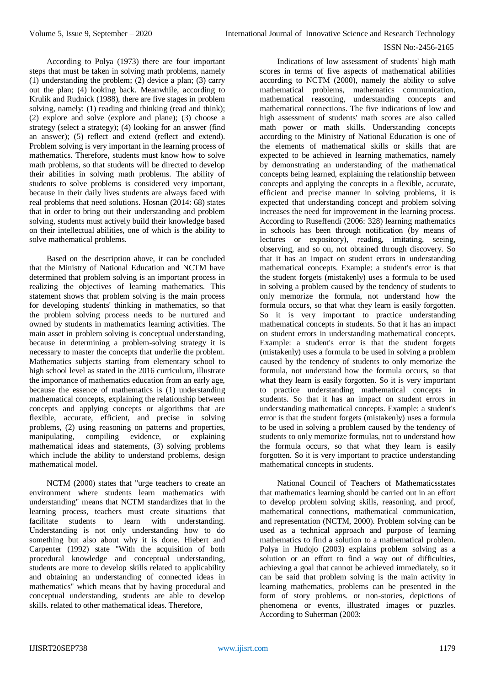According to Polya (1973) there are four important steps that must be taken in solving math problems, namely (1) understanding the problem; (2) device a plan; (3) carry out the plan; (4) looking back. Meanwhile, according to Krulik and Rudnick (1988), there are five stages in problem solving, namely: (1) reading and thinking (read and think); (2) explore and solve (explore and plane); (3) choose a strategy (select a strategy); (4) looking for an answer (find an answer); (5) reflect and extend (reflect and extend). Problem solving is very important in the learning process of mathematics. Therefore, students must know how to solve math problems, so that students will be directed to develop their abilities in solving math problems. The ability of students to solve problems is considered very important, because in their daily lives students are always faced with real problems that need solutions. Hosnan (2014: 68) states that in order to bring out their understanding and problem solving, students must actively build their knowledge based on their intellectual abilities, one of which is the ability to solve mathematical problems.

Based on the description above, it can be concluded that the Ministry of National Education and NCTM have determined that problem solving is an important process in realizing the objectives of learning mathematics. This statement shows that problem solving is the main process for developing students' thinking in mathematics, so that the problem solving process needs to be nurtured and owned by students in mathematics learning activities. The main asset in problem solving is conceptual understanding, because in determining a problem-solving strategy it is necessary to master the concepts that underlie the problem. Mathematics subjects starting from elementary school to high school level as stated in the 2016 curriculum, illustrate the importance of mathematics education from an early age, because the essence of mathematics is (1) understanding mathematical concepts, explaining the relationship between concepts and applying concepts or algorithms that are flexible, accurate, efficient, and precise in solving problems, (2) using reasoning on patterns and properties, manipulating, compiling evidence, or explaining mathematical ideas and statements, (3) solving problems which include the ability to understand problems, design mathematical model.

NCTM (2000) states that "urge teachers to create an environment where students learn mathematics with understanding" means that NCTM standardizes that in the learning process, teachers must create situations that facilitate students to learn with understanding. Understanding is not only understanding how to do something but also about why it is done. Hiebert and Carpenter (1992) state "With the acquisition of both procedural knowledge and conceptual understanding, students are more to develop skills related to applicability and obtaining an understanding of connected ideas in mathematics" which means that by having procedural and conceptual understanding, students are able to develop skills. related to other mathematical ideas. Therefore,

Indications of low assessment of students' high math scores in terms of five aspects of mathematical abilities according to NCTM (2000), namely the ability to solve mathematical problems, mathematics communication, mathematical reasoning, understanding concepts and mathematical connections. The five indications of low and high assessment of students' math scores are also called math power or math skills. Understanding concepts according to the Ministry of National Education is one of the elements of mathematical skills or skills that are expected to be achieved in learning mathematics, namely by demonstrating an understanding of the mathematical concepts being learned, explaining the relationship between concepts and applying the concepts in a flexible, accurate, efficient and precise manner in solving problems, it is expected that understanding concept and problem solving increases the need for improvement in the learning process. According to Ruseffendi (2006: 328) learning mathematics in schools has been through notification (by means of lectures or expository), reading, imitating, seeing, observing, and so on, not obtained through discovery. So that it has an impact on student errors in understanding mathematical concepts. Example: a student's error is that the student forgets (mistakenly) uses a formula to be used in solving a problem caused by the tendency of students to only memorize the formula, not understand how the formula occurs, so that what they learn is easily forgotten. So it is very important to practice understanding mathematical concepts in students. So that it has an impact on student errors in understanding mathematical concepts. Example: a student's error is that the student forgets (mistakenly) uses a formula to be used in solving a problem caused by the tendency of students to only memorize the formula, not understand how the formula occurs, so that what they learn is easily forgotten. So it is very important to practice understanding mathematical concepts in students. So that it has an impact on student errors in understanding mathematical concepts. Example: a student's error is that the student forgets (mistakenly) uses a formula to be used in solving a problem caused by the tendency of students to only memorize formulas, not to understand how the formula occurs, so that what they learn is easily forgotten. So it is very important to practice understanding mathematical concepts in students.

National Council of Teachers of Mathematicsstates that mathematics learning should be carried out in an effort to develop problem solving skills, reasoning, and proof, mathematical connections, mathematical communication, and representation (NCTM, 2000). Problem solving can be used as a technical approach and purpose of learning mathematics to find a solution to a mathematical problem. Polya in Hudojo (2003) explains problem solving as a solution or an effort to find a way out of difficulties, achieving a goal that cannot be achieved immediately, so it can be said that problem solving is the main activity in learning mathematics, problems can be presented in the form of story problems. or non-stories, depictions of phenomena or events, illustrated images or puzzles. According to Suherman (2003: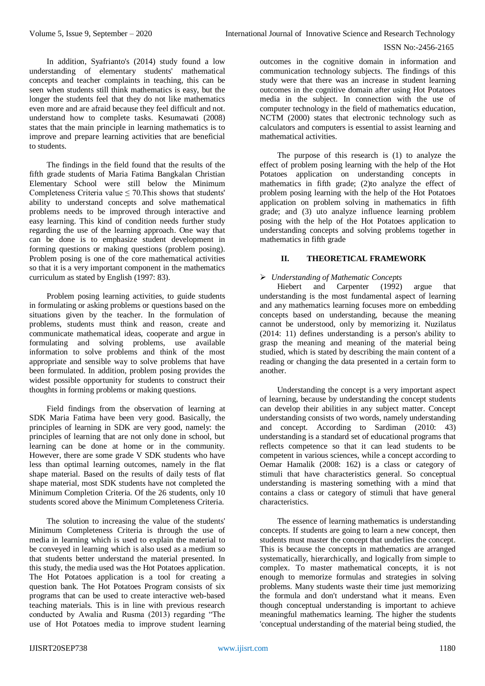In addition, Syafrianto's (2014) study found a low understanding of elementary students' mathematical concepts and teacher complaints in teaching, this can be seen when students still think mathematics is easy, but the longer the students feel that they do not like mathematics even more and are afraid because they feel difficult and not. understand how to complete tasks. Kesumawati (2008) states that the main principle in learning mathematics is to improve and prepare learning activities that are beneficial to students.

The findings in the field found that the results of the fifth grade students of Maria Fatima Bangkalan Christian Elementary School were still below the Minimum Completeness Criteria value  $\leq$  70. This shows that students' ability to understand concepts and solve mathematical problems needs to be improved through interactive and easy learning. This kind of condition needs further study regarding the use of the learning approach. One way that can be done is to emphasize student development in forming questions or making questions (problem posing). Problem posing is one of the core mathematical activities so that it is a very important component in the mathematics curriculum as stated by English (1997: 83).

Problem posing learning activities, to guide students in formulating or asking problems or questions based on the situations given by the teacher. In the formulation of problems, students must think and reason, create and communicate mathematical ideas, cooperate and argue in formulating and solving problems, use available information to solve problems and think of the most appropriate and sensible way to solve problems that have been formulated. In addition, problem posing provides the widest possible opportunity for students to construct their thoughts in forming problems or making questions.

Field findings from the observation of learning at SDK Maria Fatima have been very good. Basically, the principles of learning in SDK are very good, namely: the principles of learning that are not only done in school, but learning can be done at home or in the community. However, there are some grade V SDK students who have less than optimal learning outcomes, namely in the flat shape material. Based on the results of daily tests of flat shape material, most SDK students have not completed the Minimum Completion Criteria. Of the 26 students, only 10 students scored above the Minimum Completeness Criteria.

The solution to increasing the value of the students' Minimum Completeness Criteria is through the use of media in learning which is used to explain the material to be conveyed in learning which is also used as a medium so that students better understand the material presented. In this study, the media used was the Hot Potatoes application. The Hot Potatoes application is a tool for creating a question bank. The Hot Potatoes Program consists of six programs that can be used to create interactive web-based teaching materials. This is in line with previous research conducted by Awalia and Rusma (2013) regarding "The use of Hot Potatoes media to improve student learning

outcomes in the cognitive domain in information and communication technology subjects. The findings of this study were that there was an increase in student learning outcomes in the cognitive domain after using Hot Potatoes media in the subject. In connection with the use of computer technology in the field of mathematics education, NCTM (2000) states that electronic technology such as calculators and computers is essential to assist learning and mathematical activities.

The purpose of this research is (1) to analyze the effect of problem posing learning with the help of the Hot Potatoes application on understanding concepts in mathematics in fifth grade; (2)to analyze the effect of problem posing learning with the help of the Hot Potatoes application on problem solving in mathematics in fifth grade; and (3) uto analyze influence learning problem posing with the help of the Hot Potatoes application to understanding concepts and solving problems together in mathematics in fifth grade

## **II. THEORETICAL FRAMEWORK**

## *Understanding of Mathematic Concepts*

Hiebert and Carpenter (1992) argue that understanding is the most fundamental aspect of learning and any mathematics learning focuses more on embedding concepts based on understanding, because the meaning cannot be understood, only by memorizing it. Nuzilatus (2014: 11) defines understanding is a person's ability to grasp the meaning and meaning of the material being studied, which is stated by describing the main content of a reading or changing the data presented in a certain form to another.

Understanding the concept is a very important aspect of learning, because by understanding the concept students can develop their abilities in any subject matter. Concept understanding consists of two words, namely understanding and concept. According to Sardiman (2010: 43) understanding is a standard set of educational programs that reflects competence so that it can lead students to be competent in various sciences, while a concept according to Oemar Hamalik (2008: 162) is a class or category of stimuli that have characteristics general. So conceptual understanding is mastering something with a mind that contains a class or category of stimuli that have general characteristics.

The essence of learning mathematics is understanding concepts. If students are going to learn a new concept, then students must master the concept that underlies the concept. This is because the concepts in mathematics are arranged systematically, hierarchically, and logically from simple to complex. To master mathematical concepts, it is not enough to memorize formulas and strategies in solving problems. Many students waste their time just memorizing the formula and don't understand what it means. Even though conceptual understanding is important to achieve meaningful mathematics learning. The higher the students 'conceptual understanding of the material being studied, the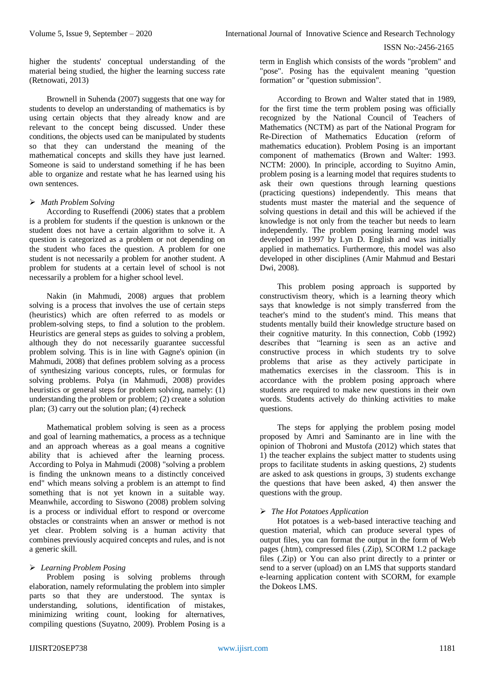higher the students' conceptual understanding of the material being studied, the higher the learning success rate (Retnowati, 2013)

Brownell in Suhenda (2007) suggests that one way for students to develop an understanding of mathematics is by using certain objects that they already know and are relevant to the concept being discussed. Under these conditions, the objects used can be manipulated by students so that they can understand the meaning of the mathematical concepts and skills they have just learned. Someone is said to understand something if he has been able to organize and restate what he has learned using his own sentences.

## *Math Problem Solving*

According to Ruseffendi (2006) states that a problem is a problem for students if the question is unknown or the student does not have a certain algorithm to solve it. A question is categorized as a problem or not depending on the student who faces the question. A problem for one student is not necessarily a problem for another student. A problem for students at a certain level of school is not necessarily a problem for a higher school level.

Nakin (in Mahmudi, 2008) argues that problem solving is a process that involves the use of certain steps (heuristics) which are often referred to as models or problem-solving steps, to find a solution to the problem. Heuristics are general steps as guides to solving a problem, although they do not necessarily guarantee successful problem solving. This is in line with Gagne's opinion (in Mahmudi, 2008) that defines problem solving as a process of synthesizing various concepts, rules, or formulas for solving problems. Polya (in Mahmudi, 2008) provides heuristics or general steps for problem solving, namely: (1) understanding the problem or problem; (2) create a solution plan; (3) carry out the solution plan; (4) recheck

Mathematical problem solving is seen as a process and goal of learning mathematics, a process as a technique and an approach whereas as a goal means a cognitive ability that is achieved after the learning process. According to Polya in Mahmudi (2008) "solving a problem is finding the unknown means to a distinctly conceived end" which means solving a problem is an attempt to find something that is not yet known in a suitable way. Meanwhile, according to Siswono (2008) problem solving is a process or individual effort to respond or overcome obstacles or constraints when an answer or method is not yet clear. Problem solving is a human activity that combines previously acquired concepts and rules, and is not a generic skill.

## *Learning Problem Posing*

Problem posing is solving problems through elaboration, namely reformulating the problem into simpler parts so that they are understood. The syntax is understanding, solutions, identification of mistakes, minimizing writing count, looking for alternatives, compiling questions (Suyatno, 2009). Problem Posing is a term in English which consists of the words "problem" and "pose". Posing has the equivalent meaning "question formation" or "question submission".

According to Brown and Walter stated that in 1989, for the first time the term problem posing was officially recognized by the National Council of Teachers of Mathematics (NCTM) as part of the National Program for Re-Direction of Mathematics Education (reform of mathematics education). Problem Posing is an important component of mathematics (Brown and Walter: 1993. NCTM: 2000). In principle, according to Suyitno Amin, problem posing is a learning model that requires students to ask their own questions through learning questions (practicing questions) independently. This means that students must master the material and the sequence of solving questions in detail and this will be achieved if the knowledge is not only from the teacher but needs to learn independently. The problem posing learning model was developed in 1997 by Lyn D. English and was initially applied in mathematics. Furthermore, this model was also developed in other disciplines (Amir Mahmud and Bestari Dwi, 2008).

This problem posing approach is supported by constructivism theory, which is a learning theory which says that knowledge is not simply transferred from the teacher's mind to the student's mind. This means that students mentally build their knowledge structure based on their cognitive maturity. In this connection, Cobb (1992) describes that "learning is seen as an active and constructive process in which students try to solve problems that arise as they actively participate in mathematics exercises in the classroom. This is in accordance with the problem posing approach where students are required to make new questions in their own words. Students actively do thinking activities to make questions.

The steps for applying the problem posing model proposed by Amri and Saminanto are in line with the opinion of Thobroni and Mustofa (2012) which states that 1) the teacher explains the subject matter to students using props to facilitate students in asking questions, 2) students are asked to ask questions in groups, 3) students exchange the questions that have been asked, 4) then answer the questions with the group.

## *The Hot Potatoes Application*

Hot potatoes is a web-based interactive teaching and question material, which can produce several types of output files, you can format the output in the form of Web pages (.htm), compressed files (.Zip), SCORM 1.2 package files (.Zip) or You can also print directly to a printer or send to a server (upload) on an LMS that supports standard e-learning application content with SCORM, for example the Dokeos LMS.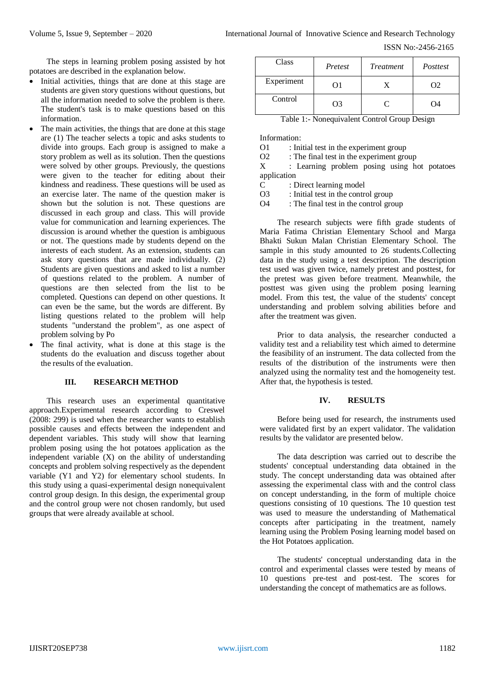ISSN No:-2456-2165

The steps in learning problem posing assisted by hot potatoes are described in the explanation below.

- Initial activities, things that are done at this stage are students are given story questions without questions, but all the information needed to solve the problem is there. The student's task is to make questions based on this information.
- The main activities, the things that are done at this stage are (1) The teacher selects a topic and asks students to divide into groups. Each group is assigned to make a story problem as well as its solution. Then the questions were solved by other groups. Previously, the questions were given to the teacher for editing about their kindness and readiness. These questions will be used as an exercise later. The name of the question maker is shown but the solution is not. These questions are discussed in each group and class. This will provide value for communication and learning experiences. The discussion is around whether the question is ambiguous or not. The questions made by students depend on the interests of each student. As an extension, students can ask story questions that are made individually. (2) Students are given questions and asked to list a number of questions related to the problem. A number of questions are then selected from the list to be completed. Questions can depend on other questions. It can even be the same, but the words are different. By listing questions related to the problem will help students "understand the problem", as one aspect of problem solving by Po
- The final activity, what is done at this stage is the students do the evaluation and discuss together about the results of the evaluation.

## **III. RESEARCH METHOD**

This research uses an experimental quantitative approach.Experimental research according to Creswel (2008: 299) is used when the researcher wants to establish possible causes and effects between the independent and dependent variables. This study will show that learning problem posing using the hot potatoes application as the independent variable (X) on the ability of understanding concepts and problem solving respectively as the dependent variable (Y1 and Y2) for elementary school students. In this study using a quasi-experimental design nonequivalent control group design. In this design, the experimental group and the control group were not chosen randomly, but used groups that were already available at school.

| Class      | Pretest | <b>Treatment</b> | Posttest |
|------------|---------|------------------|----------|
| Experiment | 91      |                  | O2       |
| Control    | O3      | C                | 04       |

Table 1:- Nonequivalent Control Group Design

Information:

O1 : Initial test in the experiment group

O2 : The final test in the experiment group

X : Learning problem posing using hot potatoes application

C : Direct learning model

O3 : Initial test in the control group

O4 : The final test in the control group

The research subjects were fifth grade students of Maria Fatima Christian Elementary School and Marga Bhakti Sukun Malan Christian Elementary School. The sample in this study amounted to 26 students.Collecting data in the study using a test description. The description test used was given twice, namely pretest and posttest, for the pretest was given before treatment. Meanwhile, the posttest was given using the problem posing learning model. From this test, the value of the students' concept understanding and problem solving abilities before and after the treatment was given.

Prior to data analysis, the researcher conducted a validity test and a reliability test which aimed to determine the feasibility of an instrument. The data collected from the results of the distribution of the instruments were then analyzed using the normality test and the homogeneity test. After that, the hypothesis is tested.

## **IV. RESULTS**

Before being used for research, the instruments used were validated first by an expert validator. The validation results by the validator are presented below.

The data description was carried out to describe the students' conceptual understanding data obtained in the study. The concept understanding data was obtained after assessing the experimental class with and the control class on concept understanding, in the form of multiple choice questions consisting of 10 questions. The 10 question test was used to measure the understanding of Mathematical concepts after participating in the treatment, namely learning using the Problem Posing learning model based on the Hot Potatoes application.

The students' conceptual understanding data in the control and experimental classes were tested by means of 10 questions pre-test and post-test. The scores for understanding the concept of mathematics are as follows.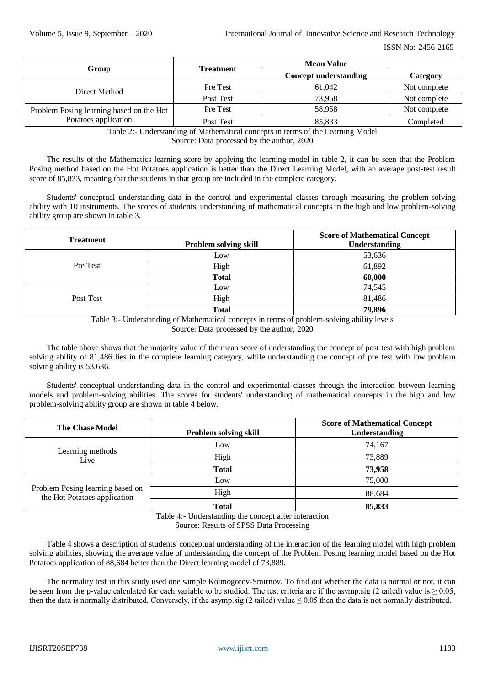| Group                                    | <b>Treatment</b> | <b>Mean Value</b>            |              |
|------------------------------------------|------------------|------------------------------|--------------|
|                                          |                  | <b>Concept understanding</b> | Category     |
| Direct Method                            | Pre Test         | 61.042                       | Not complete |
|                                          | Post Test        | 73.958                       | Not complete |
| Problem Posing learning based on the Hot | Pre Test         | 58.958                       | Not complete |
| Potatoes application                     | Post Test        | 85,833                       | Completed    |

Table 2:- Understanding of Mathematical concepts in terms of the Learning Model Source: Data processed by the author, 2020

The results of the Mathematics learning score by applying the learning model in table 2, it can be seen that the Problem Posing method based on the Hot Potatoes application is better than the Direct Learning Model, with an average post-test result score of 85,833, meaning that the students in that group are included in the complete category.

Students' conceptual understanding data in the control and experimental classes through measuring the problem-solving ability with 10 instruments. The scores of students' understanding of mathematical concepts in the high and low problem-solving ability group are shown in table 3.

| <b>Treatment</b> | Problem solving skill | <b>Score of Mathematical Concept</b><br><b>Understanding</b> |
|------------------|-----------------------|--------------------------------------------------------------|
| Pre Test         | Low                   | 53,636                                                       |
|                  | High                  | 61,892                                                       |
|                  | <b>Total</b>          | 60,000                                                       |
| Post Test        | Low                   | 74,545                                                       |
|                  | High                  | 81,486                                                       |
|                  | <b>Total</b>          | 79,896                                                       |

Table 3:- Understanding of Mathematical concepts in terms of problem-solving ability levels Source: Data processed by the author, 2020

The table above shows that the majority value of the mean score of understanding the concept of post test with high problem solving ability of 81,486 lies in the complete learning category, while understanding the concept of pre test with low problem solving ability is 53,636.

Students' conceptual understanding data in the control and experimental classes through the interaction between learning models and problem-solving abilities. The scores for students' understanding of mathematical concepts in the high and low problem-solving ability group are shown in table 4 below.

| <b>The Chase Model</b>                                           | <b>Problem solving skill</b> | <b>Score of Mathematical Concept</b><br><b>Understanding</b> |
|------------------------------------------------------------------|------------------------------|--------------------------------------------------------------|
| Learning methods<br>Live                                         | Low                          | 74,167                                                       |
|                                                                  | High                         | 73,889                                                       |
|                                                                  | <b>Total</b>                 | 73,958                                                       |
| Problem Posing learning based on<br>the Hot Potatoes application | Low                          | 75,000                                                       |
|                                                                  | High                         | 88,684                                                       |
|                                                                  | <b>Total</b>                 | 85,833                                                       |

Table 4:- Understanding the concept after interaction Source: Results of SPSS Data Processing

Table 4 shows a description of students' conceptual understanding of the interaction of the learning model with high problem solving abilities, showing the average value of understanding the concept of the Problem Posing learning model based on the Hot Potatoes application of 88,684 better than the Direct learning model of 73,889.

The normality test in this study used one sample Kolmogorov-Smirnov. To find out whether the data is normal or not, it can be seen from the p-value calculated for each variable to be studied. The test criteria are if the asymp.sig (2 tailed) value is  $\geq 0.05$ , then the data is normally distributed. Conversely, if the asymp.sig (2 tailed) value  $\leq 0.05$  then the data is not normally distributed.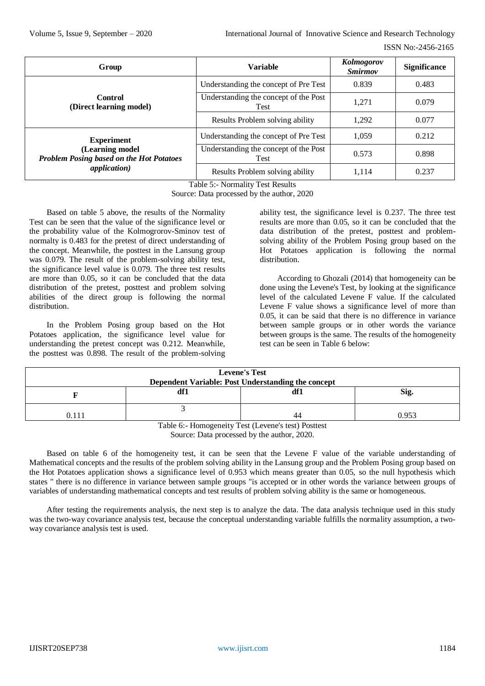| Group                                                              | <b>Variable</b>                                      | Kolmogorov<br><i><b>Smirmov</b></i> | <b>Significance</b> |
|--------------------------------------------------------------------|------------------------------------------------------|-------------------------------------|---------------------|
|                                                                    | Understanding the concept of Pre Test                | 0.839                               | 0.483               |
| <b>Control</b><br>(Direct learning model)                          | Understanding the concept of the Post<br><b>Test</b> | 1.271                               | 0.079               |
|                                                                    | Results Problem solving ability                      | 1.292                               | 0.077               |
| <b>Experiment</b>                                                  | Understanding the concept of Pre Test                | 1,059                               | 0.212               |
| (Learning model<br><b>Problem Posing based on the Hot Potatoes</b> | Understanding the concept of the Post<br>Test        | 0.573                               | 0.898               |
| <i>application</i> )                                               | Results Problem solving ability                      | 1.114                               | 0.237               |

Table 5:- Normality Test Results

Source: Data processed by the author, 2020

Based on table 5 above, the results of the Normality Test can be seen that the value of the significance level or the probability value of the Kolmogrorov-Sminov test of normalty is 0.483 for the pretest of direct understanding of the concept. Meanwhile, the posttest in the Lansung group was 0.079. The result of the problem-solving ability test, the significance level value is 0.079. The three test results are more than 0.05, so it can be concluded that the data distribution of the pretest, posttest and problem solving abilities of the direct group is following the normal distribution.

In the Problem Posing group based on the Hot Potatoes application, the significance level value for understanding the pretest concept was 0.212. Meanwhile, the posttest was 0.898. The result of the problem-solving

ability test, the significance level is 0.237. The three test results are more than 0.05, so it can be concluded that the data distribution of the pretest, posttest and problemsolving ability of the Problem Posing group based on the Hot Potatoes application is following the normal distribution.

According to Ghozali (2014) that homogeneity can be done using the Levene's Test, by looking at the significance level of the calculated Levene F value. If the calculated Levene F value shows a significance level of more than 0.05, it can be said that there is no difference in variance between sample groups or in other words the variance between groups is the same. The results of the homogeneity test can be seen in Table 6 below:

| <b>Levene's Test</b><br>Dependent Variable: Post Understanding the concept |     |     |       |
|----------------------------------------------------------------------------|-----|-----|-------|
|                                                                            | df1 | df1 | Sig.  |
| 0.111                                                                      |     | 44  | 0.953 |
| Table 6:- Homogeneity Test (Levene's test) Posttest                        |     |     |       |

Source: Data processed by the author, 2020.

Based on table 6 of the homogeneity test, it can be seen that the Levene F value of the variable understanding of Mathematical concepts and the results of the problem solving ability in the Lansung group and the Problem Posing group based on the Hot Potatoes application shows a significance level of 0.953 which means greater than 0.05, so the null hypothesis which states " there is no difference in variance between sample groups "is accepted or in other words the variance between groups of variables of understanding mathematical concepts and test results of problem solving ability is the same or homogeneous.

After testing the requirements analysis, the next step is to analyze the data. The data analysis technique used in this study was the two-way covariance analysis test, because the conceptual understanding variable fulfills the normality assumption, a twoway covariance analysis test is used.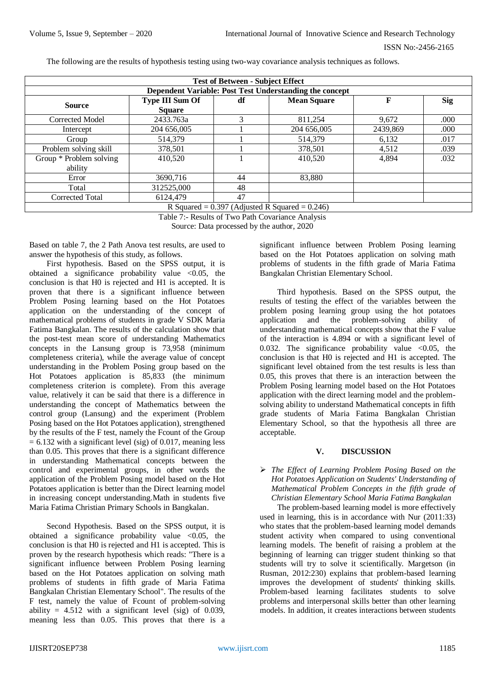The following are the results of hypothesis testing using two-way covariance analysis techniques as follows.

| <b>Test of Between - Subject Effect</b>                 |                                         |    |                    |          |            |
|---------------------------------------------------------|-----------------------------------------|----|--------------------|----------|------------|
| Dependent Variable: Post Test Understanding the concept |                                         |    |                    |          |            |
| <b>Source</b>                                           | <b>Type III Sum Of</b><br><b>Square</b> | df | <b>Mean Square</b> | F        | <b>Sig</b> |
| Corrected Model                                         | 2433.763a                               | 3  | 811,254            | 9,672    | .000       |
| Intercept                                               | 204 656,005                             |    | 204 656,005        | 2439,869 | .000       |
| Group                                                   | 514.379                                 |    | 514,379            | 6,132    | .017       |
| Problem solving skill                                   | 378,501                                 |    | 378,501            | 4,512    | .039       |
| Group * Problem solving<br>ability                      | 410,520                                 |    | 410,520            | 4,894    | .032       |
| Error                                                   | 3690,716                                | 44 | 83,880             |          |            |
| Total                                                   | 312525,000                              | 48 |                    |          |            |
| Corrected Total                                         | 6124,479                                | 47 |                    |          |            |
| $D$ Squared $= 0.307$ (Adjusted D Squared $= 0.246$ )   |                                         |    |                    |          |            |

 $R$  Squared =  $0.397$  (Adjusted R Squared =  $0.246$ )

Table 7:- Results of Two Path Covariance Analysis

Source: Data processed by the author, 2020

Based on table 7, the 2 Path Anova test results, are used to answer the hypothesis of this study, as follows.

First hypothesis. Based on the SPSS output, it is obtained a significance probability value  $\leq 0.05$ , the conclusion is that H0 is rejected and H1 is accepted. It is proven that there is a significant influence between Problem Posing learning based on the Hot Potatoes application on the understanding of the concept of mathematical problems of students in grade V SDK Maria Fatima Bangkalan. The results of the calculation show that the post-test mean score of understanding Mathematics concepts in the Lansung group is 73,958 (minimum completeness criteria), while the average value of concept understanding in the Problem Posing group based on the Hot Potatoes application is 85,833 (the minimum completeness criterion is complete). From this average value, relatively it can be said that there is a difference in understanding the concept of Mathematics between the control group (Lansung) and the experiment (Problem Posing based on the Hot Potatoes application), strengthened by the results of the F test, namely the Fcount of the Group  $= 6.132$  with a significant level (sig) of 0.017, meaning less than 0.05. This proves that there is a significant difference in understanding Mathematical concepts between the control and experimental groups, in other words the application of the Problem Posing model based on the Hot Potatoes application is better than the Direct learning model in increasing concept understanding.Math in students five Maria Fatima Christian Primary Schools in Bangkalan.

Second Hypothesis. Based on the SPSS output, it is obtained a significance probability value  $\langle 0.05,$  the conclusion is that H0 is rejected and H1 is accepted. This is proven by the research hypothesis which reads: "There is a significant influence between Problem Posing learning based on the Hot Potatoes application on solving math problems of students in fifth grade of Maria Fatima Bangkalan Christian Elementary School". The results of the F test, namely the value of Fcount of problem-solving ability =  $4.512$  with a significant level (sig) of 0.039, meaning less than 0.05. This proves that there is a

significant influence between Problem Posing learning based on the Hot Potatoes application on solving math problems of students in the fifth grade of Maria Fatima Bangkalan Christian Elementary School.

Third hypothesis. Based on the SPSS output, the results of testing the effect of the variables between the problem posing learning group using the hot potatoes application and the problem-solving ability of understanding mathematical concepts show that the F value of the interaction is 4.894 or with a significant level of 0.032. The significance probability value  $<$ 0.05, the conclusion is that H0 is rejected and H1 is accepted. The significant level obtained from the test results is less than 0.05, this proves that there is an interaction between the Problem Posing learning model based on the Hot Potatoes application with the direct learning model and the problemsolving ability to understand Mathematical concepts in fifth grade students of Maria Fatima Bangkalan Christian Elementary School, so that the hypothesis all three are acceptable.

## **V. DISCUSSION**

 *The Effect of Learning Problem Posing Based on the Hot Potatoes Application on Students' Understanding of Mathematical Problem Concepts in the fifth grade of Christian Elementary School Maria Fatima Bangkalan*

The problem-based learning model is more effectively used in learning, this is in accordance with Nur (2011:33) who states that the problem-based learning model demands student activity when compared to using conventional learning models. The benefit of raising a problem at the beginning of learning can trigger student thinking so that students will try to solve it scientifically. Margetson (in Rusman, 2012:230) explains that problem-based learning improves the development of students' thinking skills. Problem-based learning facilitates students to solve problems and interpersonal skills better than other learning models. In addition, it creates interactions between students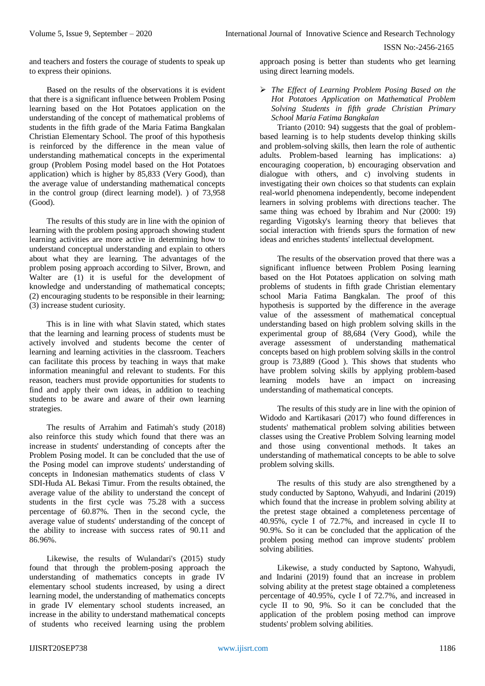and teachers and fosters the courage of students to speak up to express their opinions.

Based on the results of the observations it is evident that there is a significant influence between Problem Posing learning based on the Hot Potatoes application on the understanding of the concept of mathematical problems of students in the fifth grade of the Maria Fatima Bangkalan Christian Elementary School. The proof of this hypothesis is reinforced by the difference in the mean value of understanding mathematical concepts in the experimental group (Problem Posing model based on the Hot Potatoes application) which is higher by 85,833 (Very Good), than the average value of understanding mathematical concepts in the control group (direct learning model). ) of 73,958 (Good).

The results of this study are in line with the opinion of learning with the problem posing approach showing student learning activities are more active in determining how to understand conceptual understanding and explain to others about what they are learning. The advantages of the problem posing approach according to Silver, Brown, and Walter are (1) it is useful for the development of knowledge and understanding of mathematical concepts; (2) encouraging students to be responsible in their learning; (3) increase student curiosity.

This is in line with what Slavin stated, which states that the learning and learning process of students must be actively involved and students become the center of learning and learning activities in the classroom. Teachers can facilitate this process by teaching in ways that make information meaningful and relevant to students. For this reason, teachers must provide opportunities for students to find and apply their own ideas, in addition to teaching students to be aware and aware of their own learning strategies.

The results of Arrahim and Fatimah's study (2018) also reinforce this study which found that there was an increase in students' understanding of concepts after the Problem Posing model. It can be concluded that the use of the Posing model can improve students' understanding of concepts in Indonesian mathematics students of class V SDI-Huda AL Bekasi Timur. From the results obtained, the average value of the ability to understand the concept of students in the first cycle was 75.28 with a success percentage of 60.87%. Then in the second cycle, the average value of students' understanding of the concept of the ability to increase with success rates of 90.11 and 86.96%.

Likewise, the results of Wulandari's (2015) study found that through the problem-posing approach the understanding of mathematics concepts in grade IV elementary school students increased, by using a direct learning model, the understanding of mathematics concepts in grade IV elementary school students increased, an increase in the ability to understand mathematical concepts of students who received learning using the problem approach posing is better than students who get learning using direct learning models.

 *The Effect of Learning Problem Posing Based on the Hot Potatoes Application on Mathematical Problem Solving Students in fifth grade Christian Primary School Maria Fatima Bangkalan*

Trianto (2010: 94) suggests that the goal of problembased learning is to help students develop thinking skills and problem-solving skills, then learn the role of authentic adults. Problem-based learning has implications: a) encouraging cooperation, b) encouraging observation and dialogue with others, and c) involving students in investigating their own choices so that students can explain real-world phenomena independently, become independent learners in solving problems with directions teacher. The same thing was echoed by Ibrahim and Nur (2000: 19) regarding Vigotsky's learning theory that believes that social interaction with friends spurs the formation of new ideas and enriches students' intellectual development.

The results of the observation proved that there was a significant influence between Problem Posing learning based on the Hot Potatoes application on solving math problems of students in fifth grade Christian elementary school Maria Fatima Bangkalan. The proof of this hypothesis is supported by the difference in the average value of the assessment of mathematical conceptual understanding based on high problem solving skills in the experimental group of 88,684 (Very Good), while the average assessment of understanding mathematical concepts based on high problem solving skills in the control group is 73,889 (Good ). This shows that students who have problem solving skills by applying problem-based learning models have an impact on increasing understanding of mathematical concepts.

The results of this study are in line with the opinion of Widodo and Kartikasari (2017) who found differences in students' mathematical problem solving abilities between classes using the Creative Problem Solving learning model and those using conventional methods. It takes an understanding of mathematical concepts to be able to solve problem solving skills.

The results of this study are also strengthened by a study conducted by Saptono, Wahyudi, and Indarini (2019) which found that the increase in problem solving ability at the pretest stage obtained a completeness percentage of 40.95%, cycle I of 72.7%, and increased in cycle II to 90.9%. So it can be concluded that the application of the problem posing method can improve students' problem solving abilities.

Likewise, a study conducted by Saptono, Wahyudi, and Indarini (2019) found that an increase in problem solving ability at the pretest stage obtained a completeness percentage of 40.95%, cycle I of 72.7%, and increased in cycle II to 90, 9%. So it can be concluded that the application of the problem posing method can improve students' problem solving abilities.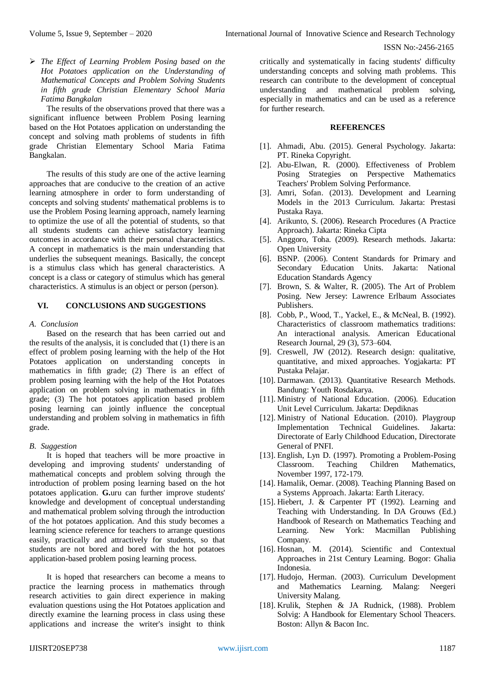*The Effect of Learning Problem Posing based on the Hot Potatoes application on the Understanding of Mathematical Concepts and Problem Solving Students in fifth grade Christian Elementary School Maria Fatima Bangkalan*

The results of the observations proved that there was a significant influence between Problem Posing learning based on the Hot Potatoes application on understanding the concept and solving math problems of students in fifth grade Christian Elementary School Maria Fatima Bangkalan.

The results of this study are one of the active learning approaches that are conducive to the creation of an active learning atmosphere in order to form understanding of concepts and solving students' mathematical problems is to use the Problem Posing learning approach, namely learning to optimize the use of all the potential of students, so that all students students can achieve satisfactory learning outcomes in accordance with their personal characteristics. A concept in mathematics is the main understanding that underlies the subsequent meanings. Basically, the concept is a stimulus class which has general characteristics. A concept is a class or category of stimulus which has general characteristics. A stimulus is an object or person (person).

## **VI. CONCLUSIONS AND SUGGESTIONS**

*A. Conclusion*

Based on the research that has been carried out and the results of the analysis, it is concluded that (1) there is an effect of problem posing learning with the help of the Hot Potatoes application on understanding concepts in mathematics in fifth grade; (2) There is an effect of problem posing learning with the help of the Hot Potatoes application on problem solving in mathematics in fifth grade; (3) The hot potatoes application based problem posing learning can jointly influence the conceptual understanding and problem solving in mathematics in fifth grade.

*B. Suggestion*

It is hoped that teachers will be more proactive in developing and improving students' understanding of mathematical concepts and problem solving through the introduction of problem posing learning based on the hot potatoes application. **G.**uru can further improve students' knowledge and development of conceptual understanding and mathematical problem solving through the introduction of the hot potatoes application. And this study becomes a learning science reference for teachers to arrange questions easily, practically and attractively for students, so that students are not bored and bored with the hot potatoes application-based problem posing learning process.

It is hoped that researchers can become a means to practice the learning process in mathematics through research activities to gain direct experience in making evaluation questions using the Hot Potatoes application and directly examine the learning process in class using these applications and increase the writer's insight to think

critically and systematically in facing students' difficulty understanding concepts and solving math problems. This research can contribute to the development of conceptual understanding and mathematical problem solving, especially in mathematics and can be used as a reference for further research.

## **REFERENCES**

- [1]. Ahmadi, Abu. (2015). General Psychology. Jakarta: PT. Rineka Copyright.
- [2]. Abu-Elwan, R. (2000). Effectiveness of Problem Posing Strategies on Perspective Mathematics Teachers' Problem Solving Performance.
- [3]. Amri, Sofan. (2013). Development and Learning Models in the 2013 Curriculum. Jakarta: Prestasi Pustaka Raya.
- [4]. Arikunto, S. (2006). Research Procedures (A Practice Approach). Jakarta: Rineka Cipta
- [5]. Anggoro, Toha. (2009). Research methods. Jakarta: Open University
- [6]. BSNP. (2006). Content Standards for Primary and Secondary Education Units. Jakarta: National Education Standards Agency
- [7]. Brown, S. & Walter, R. (2005). The Art of Problem Posing. New Jersey: Lawrence Erlbaum Associates Publishers.
- [8]. Cobb, P., Wood, T., Yackel, E., & McNeal, B. (1992). Characteristics of classroom mathematics traditions: An interactional analysis. American Educational Research Journal, 29 (3), 573–604.
- [9]. Creswell, JW (2012). Research design: qualitative, quantitative, and mixed approaches. Yogjakarta: PT Pustaka Pelajar.
- [10]. Darmawan. (2013). Quantitative Research Methods. Bandung: Youth Rosdakarya.
- [11]. Ministry of National Education. (2006). Education Unit Level Curriculum. Jakarta: Depdiknas
- [12]. Ministry of National Education. (2010). Playgroup Implementation Technical Guidelines. Jakarta: Directorate of Early Childhood Education, Directorate General of PNFI.
- [13]. English, Lyn D. (1997). Promoting a Problem-Posing Classroom. Teaching Children Mathematics, November 1997, 172-179.
- [14]. Hamalik, Oemar. (2008). Teaching Planning Based on a Systems Approach. Jakarta: Earth Literacy.
- [15]. Hiebert, J. & Carpenter PT (1992). Learning and Teaching with Understanding. In DA Grouws (Ed.) Handbook of Research on Mathematics Teaching and Learning. New York: Macmillan Publishing Company.
- [16]. Hosnan, M. (2014). Scientific and Contextual Approaches in 21st Century Learning. Bogor: Ghalia Indonesia.
- [17]. Hudojo, Herman. (2003). Curriculum Development and Mathematics Learning. Malang: Neegeri University Malang.
- [18]. Krulik, Stephen & JA Rudnick, (1988). Problem Solvig: A Handbook for Elementary School Theacers. Boston: Allyn & Bacon Inc.